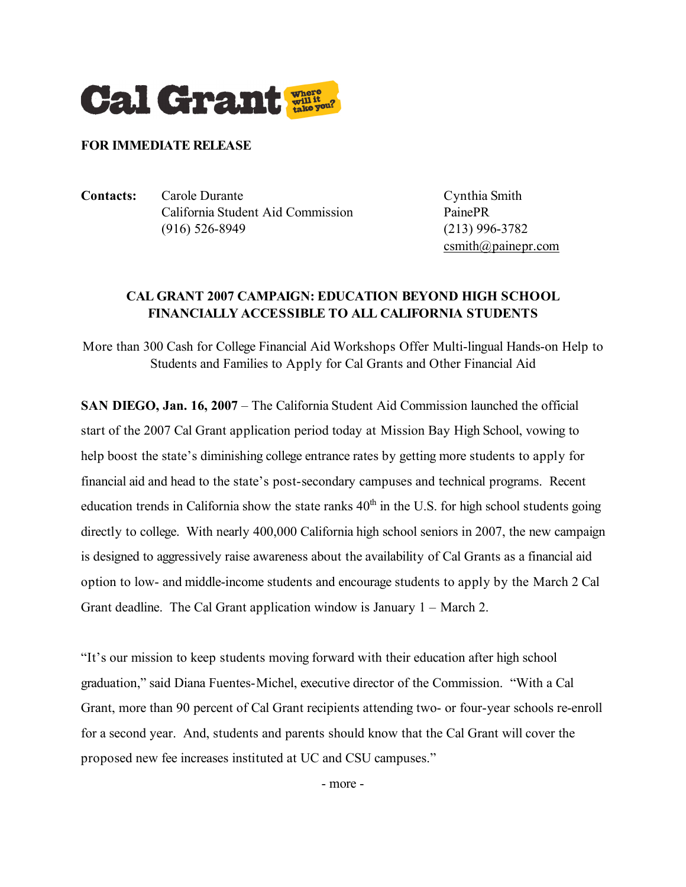

## **FOR IMMEDIATE RELEASE**

**Contacts:** Carole Durante Cynthia Smith California Student Aid Commission PainePR (916) 526-8949 (213) 996-3782

 $c$ smith@painepr.com

## **CAL GRANT 2007 CAMPAIGN: EDUCATION BEYOND HIGH SCHOOL FINANCIALLY ACCESSIBLE TO ALL CALIFORNIA STUDENTS**

More than 300 Cash for College Financial Aid Workshops Offer Multi-lingual Hands-on Help to Students and Families to Apply for Cal Grants and Other Financial Aid

**SAN DIEGO, Jan. 16, 2007** – The California Student Aid Commission launched the official start of the 2007 Cal Grant application period today at Mission Bay High School, vowing to help boost the state's diminishing college entrance rates by getting more students to apply for financial aid and head to the state's post-secondary campuses and technical programs. Recent education trends in California show the state ranks  $40<sup>th</sup>$  in the U.S. for high school students going directly to college. With nearly 400,000 California high school seniors in 2007, the new campaign is designed to aggressively raise awareness about the availability of Cal Grants as a financial aid option to low- and middle-income students and encourage students to apply by the March 2 Cal Grant deadline. The Cal Grant application window is January 1 – March 2.

"It's our mission to keep students moving forward with their education after high school graduation," said Diana Fuentes-Michel, executive director of the Commission. "With a Cal Grant, more than 90 percent of Cal Grant recipients attending two- or four-year schools re-enroll for a second year. And, students and parents should know that the Cal Grant will cover the proposed new fee increases instituted at UC and CSU campuses."

- more -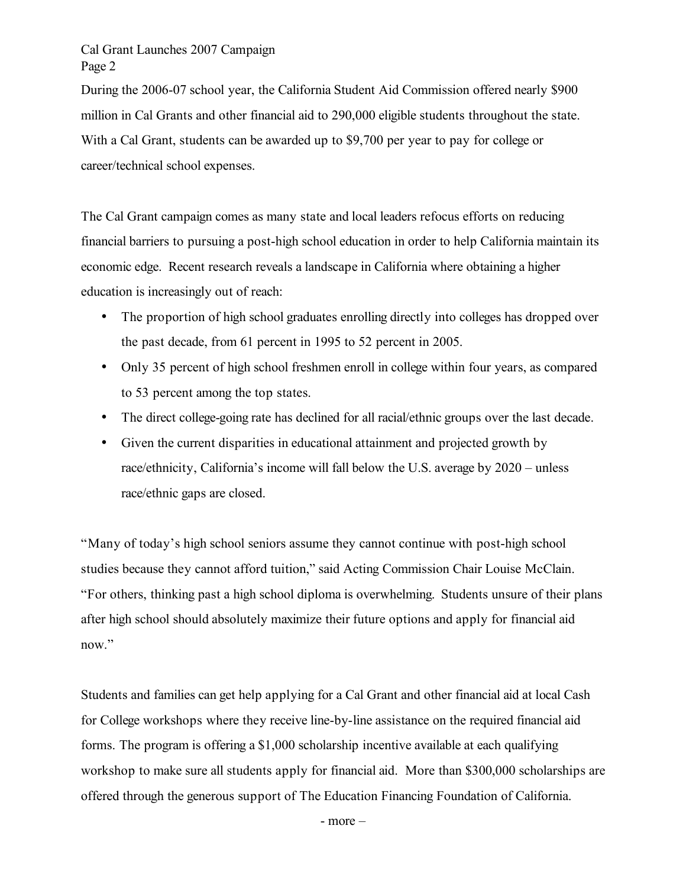Cal Grant Launches 2007 Campaign Page 2

During the 2006-07 school year, the California Student Aid Commission offered nearly \$900 million in Cal Grants and other financial aid to 290,000 eligible students throughout the state. With a Cal Grant, students can be awarded up to \$9,700 per year to pay for college or career/technical school expenses.

The Cal Grant campaign comes as many state and local leaders refocus efforts on reducing financial barriers to pursuing a post-high school education in order to help California maintain its economic edge. Recent research reveals a landscape in California where obtaining a higher education is increasingly out of reach:

- The proportion of high school graduates enrolling directly into colleges has dropped over the past decade, from 61 percent in 1995 to 52 percent in 2005.
- Only 35 percent of high school freshmen enroll in college within four years, as compared to 53 percent among the top states.
- The direct college-going rate has declined for all racial/ethnic groups over the last decade.
- Given the current disparities in educational attainment and projected growth by race/ethnicity, California's income will fall below the U.S. average by 2020 – unless race/ethnic gaps are closed.

"Many of today's high school seniors assume they cannot continue with post-high school studies because they cannot afford tuition," said Acting Commission Chair Louise McClain. "For others, thinking past a high school diploma is overwhelming. Students unsure of their plans after high school should absolutely maximize their future options and apply for financial aid now."

Students and families can get help applying for a Cal Grant and other financial aid at local Cash for College workshops where they receive line-by-line assistance on the required financial aid forms. The program is offering a \$1,000 scholarship incentive available at each qualifying workshop to make sure all students apply for financial aid. More than \$300,000 scholarships are offered through the generous support of The Education Financing Foundation of California.

- more –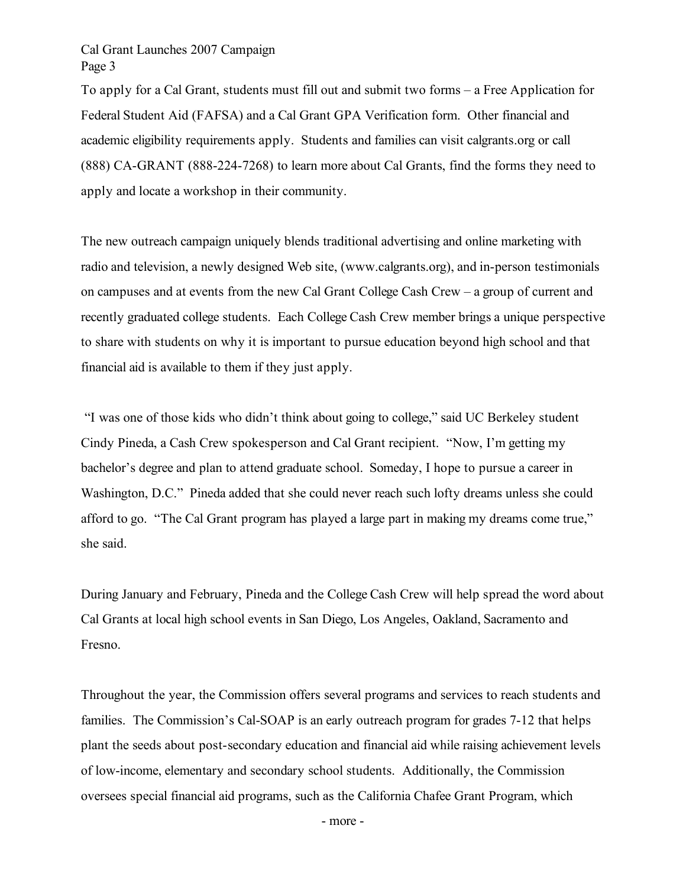## Cal Grant Launches 2007 Campaign Page 3

To apply for a Cal Grant, students must fill out and submit two forms – a Free Application for Federal Student Aid (FAFSA) and a Cal Grant GPA Verification form. Other financial and academic eligibility requirements apply. Students and families can visit calgrants.org or call (888) CA-GRANT (888-224-7268) to learn more about Cal Grants, find the forms they need to apply and locate a workshop in their community.

The new outreach campaign uniquely blends traditional advertising and online marketing with radio and television, a newly designed Web site, (www.calgrants.org), and in-person testimonials on campuses and at events from the new Cal Grant College Cash Crew – a group of current and recently graduated college students. Each College Cash Crew member brings a unique perspective to share with students on why it is important to pursue education beyond high school and that financial aid is available to them if they just apply.

"I was one of those kids who didn't think about going to college," said UC Berkeley student Cindy Pineda, a Cash Crew spokesperson and Cal Grant recipient. "Now, I'm getting my bachelor's degree and plan to attend graduate school. Someday, I hope to pursue a career in Washington, D.C." Pineda added that she could never reach such lofty dreams unless she could afford to go. "The Cal Grant program has played a large part in making my dreams come true," she said.

During January and February, Pineda and the College Cash Crew will help spread the word about Cal Grants at local high school events in San Diego, Los Angeles, Oakland, Sacramento and Fresno.

Throughout the year, the Commission offers several programs and services to reach students and families. The Commission's Cal-SOAP is an early outreach program for grades 7-12 that helps plant the seeds about post-secondary education and financial aid while raising achievement levels of low-income, elementary and secondary school students. Additionally, the Commission oversees special financial aid programs, such as the California Chafee Grant Program, which

- more -